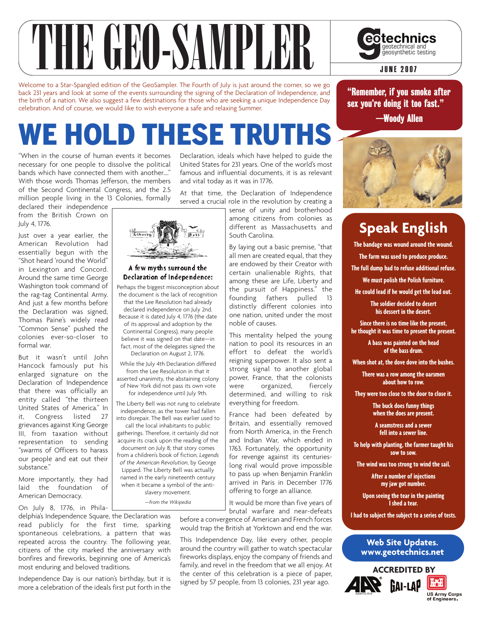

Welcome to a Star-Spangled edition of the GeoSampler. The Fourth of July is just around the corner, so we go back 231 years and look at some of the events surrounding the signing of the Declaration of Independence, and the birth of a nation. We also suggest a few destinations for those who are seeking a unique Independence Day celebration. And of course, we would like to wish everyone a safe and relaxing Summer.

# WE HOLD THESE TRUTHS

"When in the course of human events it becomes necessary for one people to dissolve the political bands which have connected them with another…." With those words Thomas Jefferson, the members of the Second Continental Congress, and the 2.5 million people living in the 13 Colonies, formally

declared their independence from the British Crown on July 4, 1776.

Just over a year earlier, the American Revolution had essentially begun with the "Shot heard 'round the World" in Lexington and Concord. Around the same time George Washington took command of the rag-tag Continental Army. And just a few months before the Declaration was signed, Thomas Paine's widely read "Common Sense" pushed the colonies ever-so-closer to formal war.

But it wasn't until John Hancock famously put his enlarged signature on the Declaration of Independence that there was officially an entity called "the thirteen United States of America." In it, Congress listed 27 grievances against King George III, from taxation without representation to sending "swarms of Officers to harass our people and eat out their substance."

More importantly, they had laid the foundation of American Democracy.

On July 8, 1776, in Phila-

Declaration, ideals which have helped to guide the United States for 231 years. One of the world's most famous and influential documents, it is as relevant and vital today as it was in 1776.

At that time, the Declaration of Independence served a crucial role in the revolution by creating a

> sense of unity and brotherhood among citizens from colonies as different as Massachusetts and South Carolina.

> By laying out a basic premise, "that all men are created equal, that they are endowed by their Creator with certain unalienable Rights, that among these are Life, Liberty and the pursuit of Happiness." the founding fathers pulled 13 distinctly different colonies into one nation, united under the most noble of causes.

> This mentality helped the young nation to pool its resources in an effort to defeat the world's reigning superpower. It also sent a strong signal to another global power, France, that the colonists<br>were organized, fiercely were organized, determined, and willing to risk everything for freedom.

France had been defeated by Britain, and essentially removed from North America, in the French and Indian War, which ended in 1763. Fortunately, the opportunity for revenge against its centurieslong rival would prove impossible to pass up when Benjamin Franklin arrived in Paris in December 1776 offering to forge an alliance.

It would be more than five years of brutal warfare and near-defeats before a convergence of American and French forces

would trap the British at Yorktown and end the war.

This Independence Day, like every other, people around the country will gather to watch spectacular fireworks displays, enjoy the company of friends and family, and revel in the freedom that we all enjoy. At the center of this celebration is a piece of paper, signed by 57 people, from 13 colonies, 231 year ago.

"Remember, if you smoke after sex you're doing it too fast." —Woody Allen

geotechnical and<br>geosynthetic testing



### **Speak English**

**The bandage was wound around the wound. The farm was used to produce produce. The full dump had to refuse additional refuse. We must polish the Polish furniture. He could lead if he would get the lead out.**

> **The soldier decided to desert his dessert in the desert.**

**Since there is no time like the present, he thought it was time to present the present.**

> **A bass was painted on the head of the bass drum.**

**When shot at, the dove dove into the bushes.**

**There was a row among the oarsmen about how to row.**

**They were too close to the door to close it.**

**The buck does funny things when the does are present.**

**A seamstress and a sewer fell into a sewer line.**

**To help with planting, the farmer taught his sow to sow.**

**The wind was too strong to wind the sail.**

**After a number of injections my jaw got number.**

**Upon seeing the tear in the painting I shed a tear.**

**I had to subject the subject to a series of tests.**

**Web Site Updates. www.geotechnics.net**





#### A few myths surround the Declaration of Independence:

Perhaps the biggest misconception about the document is the lack of recognition that the Lee Resolution had already declared independence on July 2nd. Because it is dated July 4, 1776 (the date of its approval and adoption by the Continental Congress), many people believe it was signed on that date—in fact, most of the delegates signed the Declaration on August 2, 1776.

While the July 4th Declaration differed from the Lee Resolution in that it

asserted unanimity, the abstaining colony of New York did not pass its own vote for independence until July 9th.

The Liberty Bell was not rung to celebrate independence, as the tower had fallen into disrepair. The Bell was earlier used to

call the local inhabitants to public

gatherings. Therefore, it certainly did not acquire its crack upon the reading of the document on July 8; that story comes from a children's book of fiction, *Legends of the American Revolution*, by George Lippard. The Liberty Bell was actually named in the early nineteenth century when it became a symbol of the antislavery movement.

*—from the Wikipedia*

delphia's Independence Square, the Declaration was read publicly for the first time, sparking spontaneous celebrations, a pattern that was repeated across the country. The following year, citizens of the city marked the anniversary with bonfires and fireworks, beginning one of America's most enduring and beloved traditions.

Independence Day is our nation's birthday, but it is more a celebration of the ideals first put forth in the